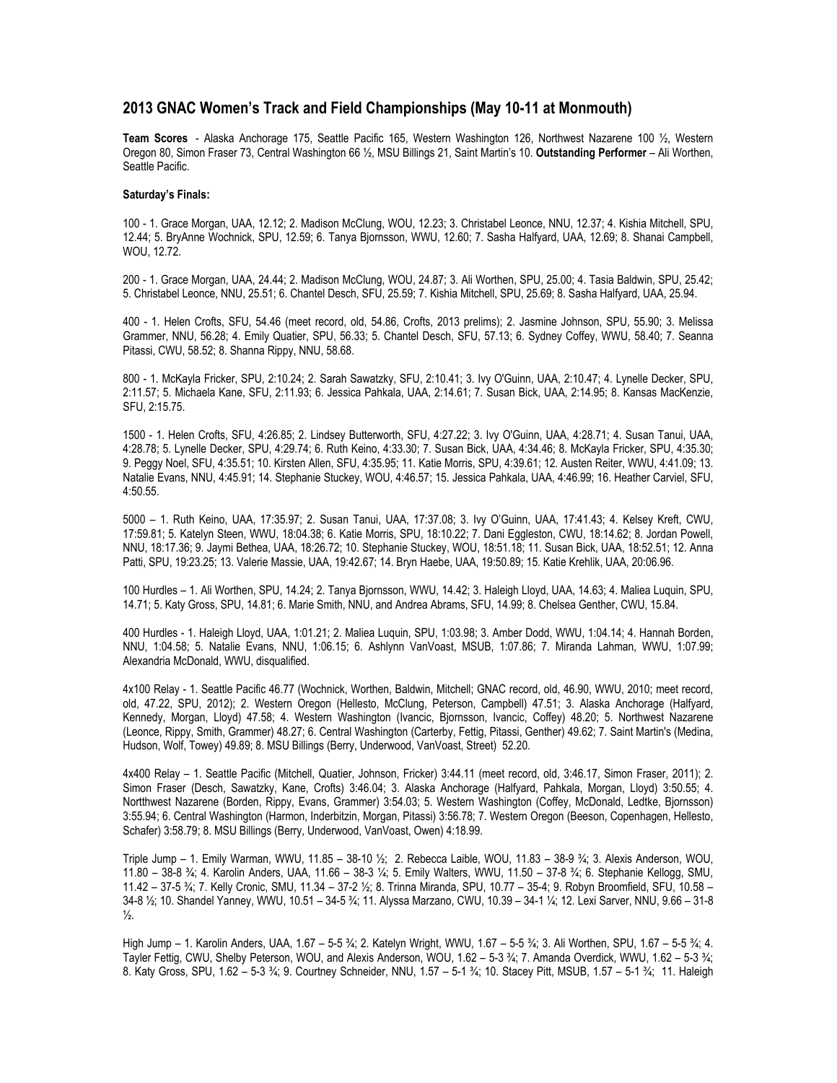## **2013 GNAC Women's Track and Field Championships (May 10-11 at Monmouth)**

**Team Scores** - Alaska Anchorage 175, Seattle Pacific 165, Western Washington 126, Northwest Nazarene 100 ½, Western Oregon 80, Simon Fraser 73, Central Washington 66 ½, MSU Billings 21, Saint Martin's 10. **Outstanding Performer** – Ali Worthen, Seattle Pacific.

## **Saturday's Finals:**

100 - 1. Grace Morgan, UAA, 12.12; 2. Madison McClung, WOU, 12.23; 3. Christabel Leonce, NNU, 12.37; 4. Kishia Mitchell, SPU, 12.44; 5. BryAnne Wochnick, SPU, 12.59; 6. Tanya Bjornsson, WWU, 12.60; 7. Sasha Halfyard, UAA, 12.69; 8. Shanai Campbell, WOU, 12.72.

200 - 1. Grace Morgan, UAA, 24.44; 2. Madison McClung, WOU, 24.87; 3. Ali Worthen, SPU, 25.00; 4. Tasia Baldwin, SPU, 25.42; 5. Christabel Leonce, NNU, 25.51; 6. Chantel Desch, SFU, 25.59; 7. Kishia Mitchell, SPU, 25.69; 8. Sasha Halfyard, UAA, 25.94.

400 - 1. Helen Crofts, SFU, 54.46 (meet record, old, 54.86, Crofts, 2013 prelims); 2. Jasmine Johnson, SPU, 55.90; 3. Melissa Grammer, NNU, 56.28; 4. Emily Quatier, SPU, 56.33; 5. Chantel Desch, SFU, 57.13; 6. Sydney Coffey, WWU, 58.40; 7. Seanna Pitassi, CWU, 58.52; 8. Shanna Rippy, NNU, 58.68.

800 - 1. McKayla Fricker, SPU, 2:10.24; 2. Sarah Sawatzky, SFU, 2:10.41; 3. Ivy O'Guinn, UAA, 2:10.47; 4. Lynelle Decker, SPU, 2:11.57; 5. Michaela Kane, SFU, 2:11.93; 6. Jessica Pahkala, UAA, 2:14.61; 7. Susan Bick, UAA, 2:14.95; 8. Kansas MacKenzie, SFU, 2:15.75.

1500 - 1. Helen Crofts, SFU, 4:26.85; 2. Lindsey Butterworth, SFU, 4:27.22; 3. Ivy O'Guinn, UAA, 4:28.71; 4. Susan Tanui, UAA, 4:28.78; 5. Lynelle Decker, SPU, 4:29.74; 6. Ruth Keino, 4:33.30; 7. Susan Bick, UAA, 4:34.46; 8. McKayla Fricker, SPU, 4:35.30; 9. Peggy Noel, SFU, 4:35.51; 10. Kirsten Allen, SFU, 4:35.95; 11. Katie Morris, SPU, 4:39.61; 12. Austen Reiter, WWU, 4:41.09; 13. Natalie Evans, NNU, 4:45.91; 14. Stephanie Stuckey, WOU, 4:46.57; 15. Jessica Pahkala, UAA, 4:46.99; 16. Heather Carviel, SFU, 4:50.55.

5000 – 1. Ruth Keino, UAA, 17:35.97; 2. Susan Tanui, UAA, 17:37.08; 3. Ivy O'Guinn, UAA, 17:41.43; 4. Kelsey Kreft, CWU, 17:59.81; 5. Katelyn Steen, WWU, 18:04.38; 6. Katie Morris, SPU, 18:10.22; 7. Dani Eggleston, CWU, 18:14.62; 8. Jordan Powell, NNU, 18:17.36; 9. Jaymi Bethea, UAA, 18:26.72; 10. Stephanie Stuckey, WOU, 18:51.18; 11. Susan Bick, UAA, 18:52.51; 12. Anna Patti, SPU, 19:23.25; 13. Valerie Massie, UAA, 19:42.67; 14. Bryn Haebe, UAA, 19:50.89; 15. Katie Krehlik, UAA, 20:06.96.

100 Hurdles – 1. Ali Worthen, SPU, 14.24; 2. Tanya Bjornsson, WWU, 14.42; 3. Haleigh Lloyd, UAA, 14.63; 4. Maliea Luquin, SPU, 14.71; 5. Katy Gross, SPU, 14.81; 6. Marie Smith, NNU, and Andrea Abrams, SFU, 14.99; 8. Chelsea Genther, CWU, 15.84.

400 Hurdles - 1. Haleigh Lloyd, UAA, 1:01.21; 2. Maliea Luquin, SPU, 1:03.98; 3. Amber Dodd, WWU, 1:04.14; 4. Hannah Borden, NNU, 1:04.58; 5. Natalie Evans, NNU, 1:06.15; 6. Ashlynn VanVoast, MSUB, 1:07.86; 7. Miranda Lahman, WWU, 1:07.99; Alexandria McDonald, WWU, disqualified.

4x100 Relay - 1. Seattle Pacific 46.77 (Wochnick, Worthen, Baldwin, Mitchell; GNAC record, old, 46.90, WWU, 2010; meet record, old, 47.22, SPU, 2012); 2. Western Oregon (Hellesto, McClung, Peterson, Campbell) 47.51; 3. Alaska Anchorage (Halfyard, Kennedy, Morgan, Lloyd) 47.58; 4. Western Washington (Ivancic, Bjornsson, Ivancic, Coffey) 48.20; 5. Northwest Nazarene (Leonce, Rippy, Smith, Grammer) 48.27; 6. Central Washington (Carterby, Fettig, Pitassi, Genther) 49.62; 7. Saint Martin's (Medina, Hudson, Wolf, Towey) 49.89; 8. MSU Billings (Berry, Underwood, VanVoast, Street) 52.20.

4x400 Relay – 1. Seattle Pacific (Mitchell, Quatier, Johnson, Fricker) 3:44.11 (meet record, old, 3:46.17, Simon Fraser, 2011); 2. Simon Fraser (Desch, Sawatzky, Kane, Crofts) 3:46.04; 3. Alaska Anchorage (Halfyard, Pahkala, Morgan, Lloyd) 3:50.55; 4. Nortthwest Nazarene (Borden, Rippy, Evans, Grammer) 3:54.03; 5. Western Washington (Coffey, McDonald, Ledtke, Bjornsson) 3:55.94; 6. Central Washington (Harmon, Inderbitzin, Morgan, Pitassi) 3:56.78; 7. Western Oregon (Beeson, Copenhagen, Hellesto, Schafer) 3:58.79; 8. MSU Billings (Berry, Underwood, VanVoast, Owen) 4:18.99.

Triple Jump – 1. Emily Warman, WWU, 11.85 – 38-10 ½; 2. Rebecca Laible, WOU, 11.83 – 38-9 ¾; 3. Alexis Anderson, WOU, 11.80 – 38-8 ¾; 4. Karolin Anders, UAA, 11.66 – 38-3 ¼; 5. Emily Walters, WWU, 11.50 – 37-8 ¾; 6. Stephanie Kellogg, SMU, 11.42 – 37-5 ¾; 7. Kelly Cronic, SMU, 11.34 – 37-2 ½; 8. Trinna Miranda, SPU, 10.77 – 35-4; 9. Robyn Broomfield, SFU, 10.58 – 34-8 ½; 10. Shandel Yanney, WWU, 10.51 – 34-5 ¾; 11. Alyssa Marzano, CWU, 10.39 – 34-1 ¼; 12. Lexi Sarver, NNU, 9.66 – 31-8  $\frac{1}{2}$ .

High Jump – 1. Karolin Anders, UAA, 1.67 – 5-5 ¾; 2. Katelyn Wright, WWU, 1.67 – 5-5 ¾; 3. Ali Worthen, SPU, 1.67 – 5-5 ¾; 4. Tayler Fettig, CWU, Shelby Peterson, WOU, and Alexis Anderson, WOU, 1.62 – 5-3 ¾; 7. Amanda Overdick, WWU, 1.62 – 5-3 ¾; 8. Katy Gross, SPU, 1.62 – 5-3 ¾; 9. Courtney Schneider, NNU, 1.57 – 5-1 ¾; 10. Stacey Pitt, MSUB, 1.57 – 5-1 ¾; 11. Haleigh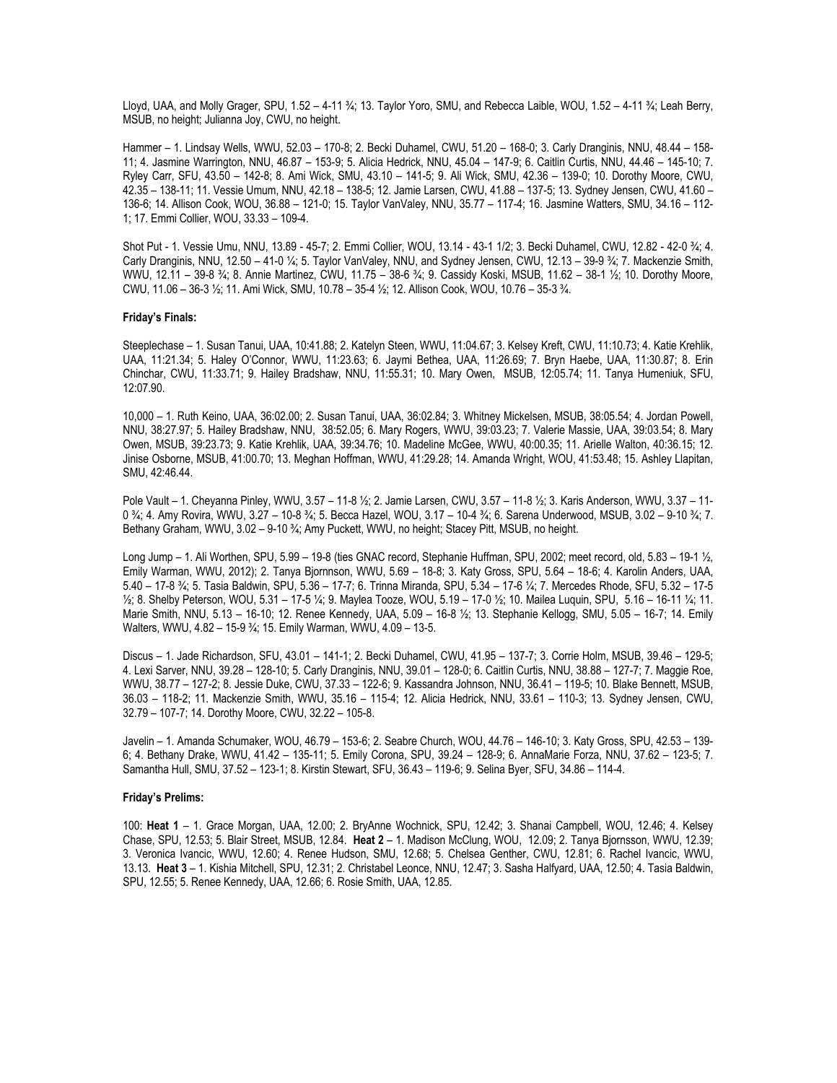Lloyd, UAA, and Molly Grager, SPU, 1.52 – 4-11 ¾; 13. Taylor Yoro, SMU, and Rebecca Laible, WOU, 1.52 – 4-11 ¾; Leah Berry, MSUB, no height; Julianna Joy, CWU, no height.

Hammer – 1. Lindsay Wells, WWU, 52.03 – 170-8; 2. Becki Duhamel, CWU, 51.20 – 168-0; 3. Carly Dranginis, NNU, 48.44 – 158- 11; 4. Jasmine Warrington, NNU, 46.87 – 153-9; 5. Alicia Hedrick, NNU, 45.04 – 147-9; 6. Caitlin Curtis, NNU, 44.46 – 145-10; 7. Ryley Carr, SFU, 43.50 – 142-8; 8. Ami Wick, SMU, 43.10 – 141-5; 9. Ali Wick, SMU, 42.36 – 139-0; 10. Dorothy Moore, CWU, 42.35 – 138-11; 11. Vessie Umum, NNU, 42.18 – 138-5; 12. Jamie Larsen, CWU, 41.88 – 137-5; 13. Sydney Jensen, CWU, 41.60 – 136-6; 14. Allison Cook, WOU, 36.88 – 121-0; 15. Taylor VanValey, NNU, 35.77 – 117-4; 16. Jasmine Watters, SMU, 34.16 – 112- 1; 17. Emmi Collier, WOU, 33.33 – 109-4.

Shot Put - 1. Vessie Umu, NNU, 13.89 - 45-7; 2. Emmi Collier, WOU, 13.14 - 43-1 1/2; 3. Becki Duhamel, CWU, 12.82 - 42-0 ¾; 4. Carly Dranginis, NNU, 12.50 – 41-0 ¼; 5. Taylor VanValey, NNU, and Sydney Jensen, CWU, 12.13 – 39-9 ¾; 7. Mackenzie Smith, WWU, 12.11 – 39-8 ¾; 8. Annie Martinez, CWU, 11.75 – 38-6 ¾; 9. Cassidy Koski, MSUB, 11.62 – 38-1 ½; 10. Dorothy Moore, CWU, 11.06 – 36-3 ½; 11. Ami Wick, SMU, 10.78 – 35-4 ½; 12. Allison Cook, WOU, 10.76 – 35-3 ¾.

## **Friday's Finals:**

Steeplechase – 1. Susan Tanui, UAA, 10:41.88; 2. Katelyn Steen, WWU, 11:04.67; 3. Kelsey Kreft, CWU, 11:10.73; 4. Katie Krehlik, UAA, 11:21.34; 5. Haley O'Connor, WWU, 11:23.63; 6. Jaymi Bethea, UAA, 11:26.69; 7. Bryn Haebe, UAA, 11:30.87; 8. Erin Chinchar, CWU, 11:33.71; 9. Hailey Bradshaw, NNU, 11:55.31; 10. Mary Owen, MSUB, 12:05.74; 11. Tanya Humeniuk, SFU, 12:07.90.

10,000 – 1. Ruth Keino, UAA, 36:02.00; 2. Susan Tanui, UAA, 36:02.84; 3. Whitney Mickelsen, MSUB, 38:05.54; 4. Jordan Powell, NNU, 38:27.97; 5. Hailey Bradshaw, NNU, 38:52.05; 6. Mary Rogers, WWU, 39:03.23; 7. Valerie Massie, UAA, 39:03.54; 8. Mary Owen, MSUB, 39:23.73; 9. Katie Krehlik, UAA, 39:34.76; 10. Madeline McGee, WWU, 40:00.35; 11. Arielle Walton, 40:36.15; 12. Jinise Osborne, MSUB, 41:00.70; 13. Meghan Hoffman, WWU, 41:29.28; 14. Amanda Wright, WOU, 41:53.48; 15. Ashley Llapitan, SMU, 42:46.44.

Pole Vault – 1. Cheyanna Pinley, WWU, 3.57 – 11-8 ½; 2. Jamie Larsen, CWU, 3.57 – 11-8 ½; 3. Karis Anderson, WWU, 3.37 – 11- 0 ¾; 4. Amy Rovira, WWU, 3.27 – 10-8 ¾; 5. Becca Hazel, WOU, 3.17 – 10-4 ¾; 6. Sarena Underwood, MSUB, 3.02 – 9-10 ¾; 7. Bethany Graham, WWU, 3.02 – 9-10 3/4; Amy Puckett, WWU, no height; Stacey Pitt, MSUB, no height.

Long Jump – 1. Ali Worthen, SPU, 5.99 – 19-8 (ties GNAC record, Stephanie Huffman, SPU, 2002; meet record, old, 5.83 – 19-1 ½, Emily Warman, WWU, 2012); 2. Tanya Bjornnson, WWU, 5.69 – 18-8; 3. Katy Gross, SPU, 5.64 – 18-6; 4. Karolin Anders, UAA, 5.40 – 17-8 ¾; 5. Tasia Baldwin, SPU, 5.36 – 17-7; 6. Trinna Miranda, SPU, 5.34 – 17-6 ¼; 7. Mercedes Rhode, SFU, 5.32 – 17-5 ½; 8. Shelby Peterson, WOU, 5.31 – 17-5 ¼; 9. Maylea Tooze, WOU, 5.19 – 17-0 ½; 10. Mailea Luquin, SPU, 5.16 – 16-11 ¼; 11. Marie Smith, NNU, 5.13 – 16-10; 12. Renee Kennedy, UAA, 5.09 – 16-8 ½; 13. Stephanie Kellogg, SMU, 5.05 – 16-7; 14. Emily Walters, WWU, 4.82 – 15-9 ¾; 15. Emily Warman, WWU, 4.09 – 13-5.

Discus – 1. Jade Richardson, SFU, 43.01 – 141-1; 2. Becki Duhamel, CWU, 41.95 – 137-7; 3. Corrie Holm, MSUB, 39.46 – 129-5; 4. Lexi Sarver, NNU, 39.28 – 128-10; 5. Carly Dranginis, NNU, 39.01 – 128-0; 6. Caitlin Curtis, NNU, 38.88 – 127-7; 7. Maggie Roe, WWU, 38.77 – 127-2; 8. Jessie Duke, CWU, 37.33 – 122-6; 9. Kassandra Johnson, NNU, 36.41 – 119-5; 10. Blake Bennett, MSUB, 36.03 – 118-2; 11. Mackenzie Smith, WWU, 35.16 – 115-4; 12. Alicia Hedrick, NNU, 33.61 – 110-3; 13. Sydney Jensen, CWU, 32.79 – 107-7; 14. Dorothy Moore, CWU, 32.22 – 105-8.

Javelin – 1. Amanda Schumaker, WOU, 46.79 – 153-6; 2. Seabre Church, WOU, 44.76 – 146-10; 3. Katy Gross, SPU, 42.53 – 139- 6; 4. Bethany Drake, WWU, 41.42 – 135-11; 5. Emily Corona, SPU, 39.24 – 128-9; 6. AnnaMarie Forza, NNU, 37.62 – 123-5; 7. Samantha Hull, SMU, 37.52 – 123-1; 8. Kirstin Stewart, SFU, 36.43 – 119-6; 9. Selina Byer, SFU, 34.86 – 114-4.

## **Friday's Prelims:**

100: **Heat 1** – 1. Grace Morgan, UAA, 12.00; 2. BryAnne Wochnick, SPU, 12.42; 3. Shanai Campbell, WOU, 12.46; 4. Kelsey Chase, SPU, 12.53; 5. Blair Street, MSUB, 12.84. **Heat 2** – 1. Madison McClung, WOU, 12.09; 2. Tanya Bjornsson, WWU, 12.39; 3. Veronica Ivancic, WWU, 12.60; 4. Renee Hudson, SMU, 12.68; 5. Chelsea Genther, CWU, 12.81; 6. Rachel Ivancic, WWU, 13.13. **Heat 3** – 1. Kishia Mitchell, SPU, 12.31; 2. Christabel Leonce, NNU, 12.47; 3. Sasha Halfyard, UAA, 12.50; 4. Tasia Baldwin, SPU, 12.55; 5. Renee Kennedy, UAA, 12.66; 6. Rosie Smith, UAA, 12.85.